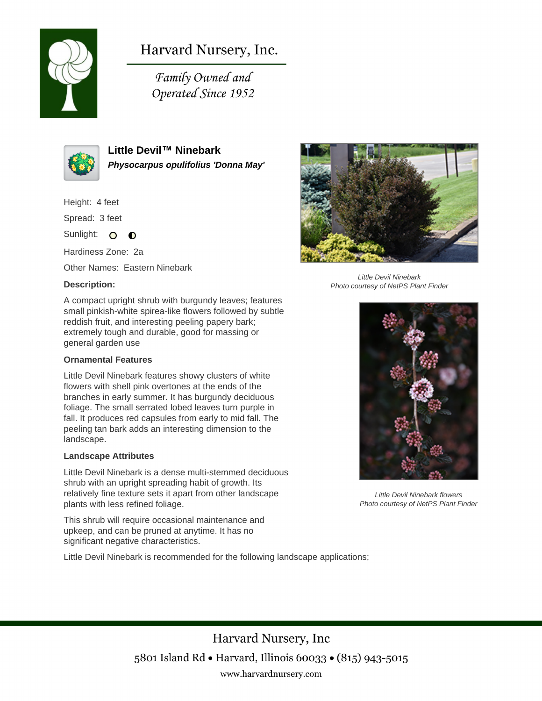

# Harvard Nursery, Inc.

Family Owned and Operated Since 1952



**Little Devil™ Ninebark Physocarpus opulifolius 'Donna May'**

Height: 4 feet

Spread: 3 feet

Sunlight: O  $\bullet$ 

Hardiness Zone: 2a

Other Names: Eastern Ninebark

## **Description:**



#### **Ornamental Features**

Little Devil Ninebark features showy clusters of white flowers with shell pink overtones at the ends of the branches in early summer. It has burgundy deciduous foliage. The small serrated lobed leaves turn purple in fall. It produces red capsules from early to mid fall. The peeling tan bark adds an interesting dimension to the landscape.

#### **Landscape Attributes**

Little Devil Ninebark is a dense multi-stemmed deciduous shrub with an upright spreading habit of growth. Its relatively fine texture sets it apart from other landscape plants with less refined foliage.

This shrub will require occasional maintenance and upkeep, and can be pruned at anytime. It has no significant negative characteristics.

Little Devil Ninebark is recommended for the following landscape applications;



Little Devil Ninebark Photo courtesy of NetPS Plant Finder



Little Devil Ninebark flowers Photo courtesy of NetPS Plant Finder

Harvard Nursery, Inc 5801 Island Rd • Harvard, Illinois 60033 • (815) 943-5015 www.harvardnursery.com